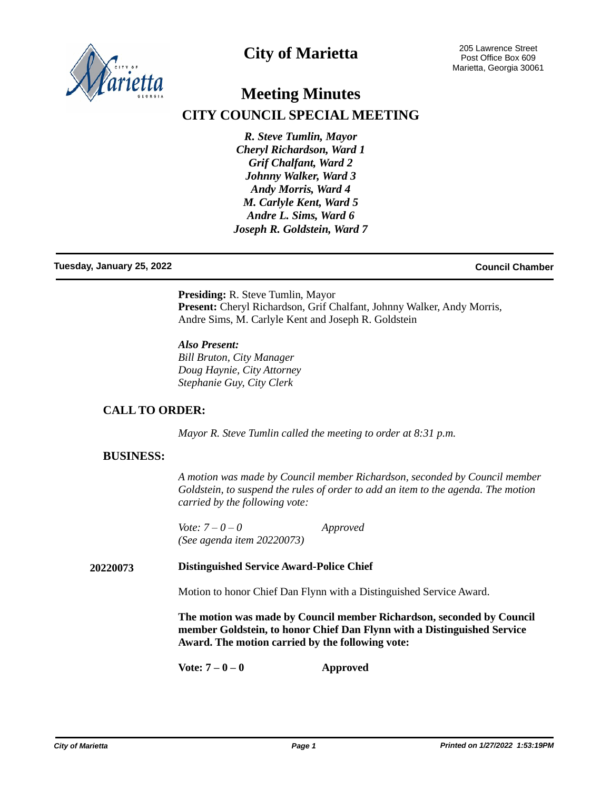

## **City of Marietta**

# **Meeting Minutes CITY COUNCIL SPECIAL MEETING**

*R. Steve Tumlin, Mayor Cheryl Richardson, Ward 1 Grif Chalfant, Ward 2 Johnny Walker, Ward 3 Andy Morris, Ward 4 M. Carlyle Kent, Ward 5 Andre L. Sims, Ward 6 Joseph R. Goldstein, Ward 7*

### **Tuesday, January 25, 2022 Council Chamber**

**Presiding:** R. Steve Tumlin, Mayor Present: Cheryl Richardson, Grif Chalfant, Johnny Walker, Andy Morris, Andre Sims, M. Carlyle Kent and Joseph R. Goldstein

*Also Present: Bill Bruton, City Manager Doug Haynie, City Attorney Stephanie Guy, City Clerk*

## **CALL TO ORDER:**

*Mayor R. Steve Tumlin called the meeting to order at 8:31 p.m.*

### **BUSINESS:**

*A motion was made by Council member Richardson, seconded by Council member Goldstein, to suspend the rules of order to add an item to the agenda. The motion carried by the following vote:*

*Vote: 7 – 0 – 0 Approved (See agenda item 20220073)*

### **Distinguished Service Award-Police Chief 20220073**

Motion to honor Chief Dan Flynn with a Distinguished Service Award.

**The motion was made by Council member Richardson, seconded by Council member Goldstein, to honor Chief Dan Flynn with a Distinguished Service Award. The motion carried by the following vote:**

**Vote: 7 – 0 – 0 Approved**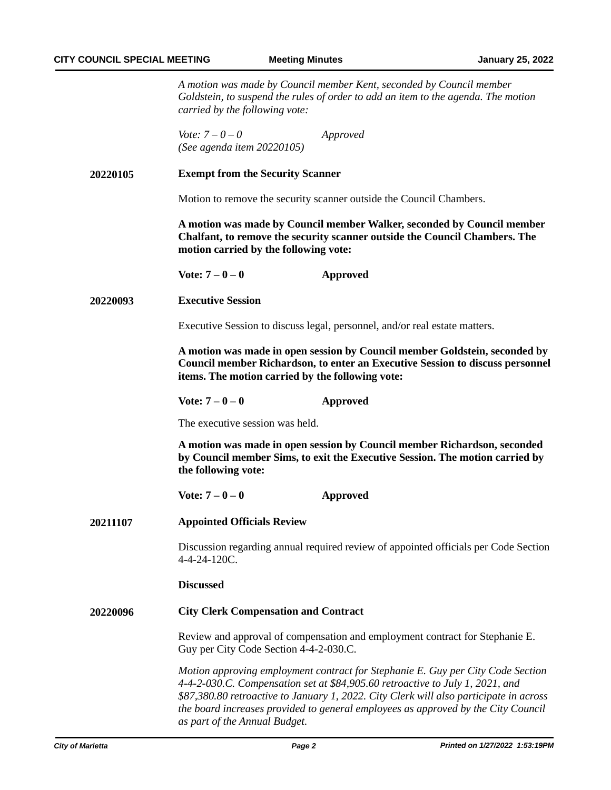*A motion was made by Council member Kent, seconded by Council member Goldstein, to suspend the rules of order to add an item to the agenda. The motion carried by the following vote:*

*Vote: 7 – 0 – 0 Approved (See agenda item 20220105)*

**20220105 Exempt from the Security Scanner**

Motion to remove the security scanner outside the Council Chambers.

**A motion was made by Council member Walker, seconded by Council member Chalfant, to remove the security scanner outside the Council Chambers. The motion carried by the following vote:**

**Vote: 7 – 0 – 0 Approved**

**20220093 Executive Session**

Executive Session to discuss legal, personnel, and/or real estate matters.

**A motion was made in open session by Council member Goldstein, seconded by Council member Richardson, to enter an Executive Session to discuss personnel items. The motion carried by the following vote:**

**Vote: 7 – 0 – 0 Approved**

The executive session was held.

**A motion was made in open session by Council member Richardson, seconded by Council member Sims, to exit the Executive Session. The motion carried by the following vote:** 

### **Vote: 7 – 0 – 0 Approved**

**Appointed Officials Review 20211107**

> Discussion regarding annual required review of appointed officials per Code Section 4-4-24-120C.

**Discussed**

#### **City Clerk Compensation and Contract 20220096**

Review and approval of compensation and employment contract for Stephanie E. Guy per City Code Section 4-4-2-030.C.

*Motion approving employment contract for Stephanie E. Guy per City Code Section 4-4-2-030.C. Compensation set at \$84,905.60 retroactive to July 1, 2021, and \$87,380.80 retroactive to January 1, 2022. City Clerk will also participate in across the board increases provided to general employees as approved by the City Council as part of the Annual Budget.*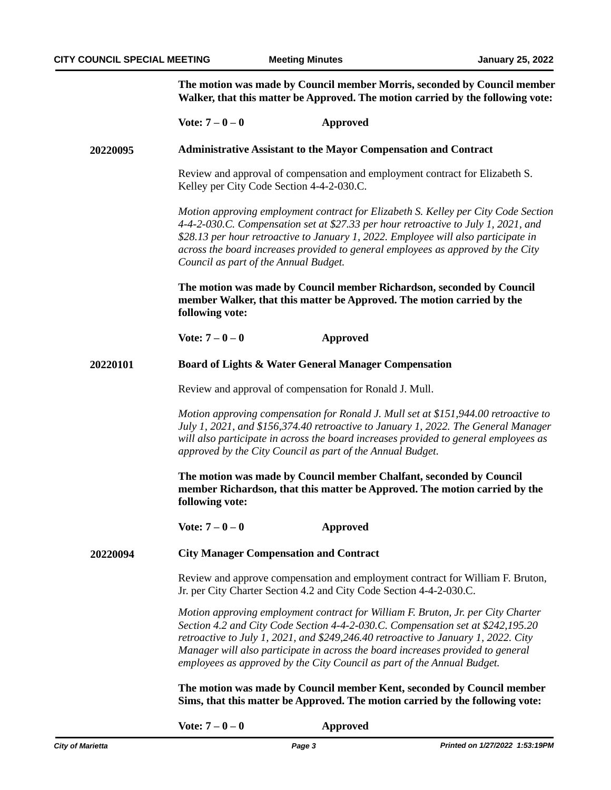**The motion was made by Council member Morris, seconded by Council member Walker, that this matter be Approved. The motion carried by the following vote:**

|          | Vote: $7 - 0 - 0$                                                                                                                                                                                                                                                                                                                                                                                                                                                                                                                                                 | <b>Approved</b>                                                                                                                                   |
|----------|-------------------------------------------------------------------------------------------------------------------------------------------------------------------------------------------------------------------------------------------------------------------------------------------------------------------------------------------------------------------------------------------------------------------------------------------------------------------------------------------------------------------------------------------------------------------|---------------------------------------------------------------------------------------------------------------------------------------------------|
| 20220095 | <b>Administrative Assistant to the Mayor Compensation and Contract</b>                                                                                                                                                                                                                                                                                                                                                                                                                                                                                            |                                                                                                                                                   |
|          | Review and approval of compensation and employment contract for Elizabeth S.<br>Kelley per City Code Section 4-4-2-030.C.                                                                                                                                                                                                                                                                                                                                                                                                                                         |                                                                                                                                                   |
|          | Motion approving employment contract for Elizabeth S. Kelley per City Code Section<br>4-4-2-030.C. Compensation set at \$27.33 per hour retroactive to July 1, 2021, and<br>\$28.13 per hour retroactive to January 1, 2022. Employee will also participate in<br>across the board increases provided to general employees as approved by the City<br>Council as part of the Annual Budget.<br>The motion was made by Council member Richardson, seconded by Council<br>member Walker, that this matter be Approved. The motion carried by the<br>following vote: |                                                                                                                                                   |
|          |                                                                                                                                                                                                                                                                                                                                                                                                                                                                                                                                                                   |                                                                                                                                                   |
|          | Vote: $7 - 0 - 0$                                                                                                                                                                                                                                                                                                                                                                                                                                                                                                                                                 | <b>Approved</b>                                                                                                                                   |
| 20220101 | Board of Lights & Water General Manager Compensation                                                                                                                                                                                                                                                                                                                                                                                                                                                                                                              |                                                                                                                                                   |
|          | Review and approval of compensation for Ronald J. Mull.                                                                                                                                                                                                                                                                                                                                                                                                                                                                                                           |                                                                                                                                                   |
|          | Motion approving compensation for Ronald J. Mull set at \$151,944.00 retroactive to<br>July 1, 2021, and \$156,374.40 retroactive to January 1, 2022. The General Manager<br>will also participate in across the board increases provided to general employees as<br>approved by the City Council as part of the Annual Budget.                                                                                                                                                                                                                                   |                                                                                                                                                   |
|          | following vote:                                                                                                                                                                                                                                                                                                                                                                                                                                                                                                                                                   | The motion was made by Council member Chalfant, seconded by Council<br>member Richardson, that this matter be Approved. The motion carried by the |
|          | Vote: $7 - 0 - 0$                                                                                                                                                                                                                                                                                                                                                                                                                                                                                                                                                 | <b>Approved</b>                                                                                                                                   |
| 20220094 | <b>City Manager Compensation and Contract</b>                                                                                                                                                                                                                                                                                                                                                                                                                                                                                                                     |                                                                                                                                                   |
|          | Review and approve compensation and employment contract for William F. Bruton,<br>Jr. per City Charter Section 4.2 and City Code Section 4-4-2-030.C.                                                                                                                                                                                                                                                                                                                                                                                                             |                                                                                                                                                   |
|          | Motion approving employment contract for William F. Bruton, Jr. per City Charter<br>Section 4.2 and City Code Section 4-4-2-030.C. Compensation set at \$242,195.20<br>retroactive to July 1, 2021, and \$249,246.40 retroactive to January 1, 2022. City<br>Manager will also participate in across the board increases provided to general<br>employees as approved by the City Council as part of the Annual Budget.                                                                                                                                           |                                                                                                                                                   |
|          | The motion was made by Council member Kent, seconded by Council member<br>Sims, that this matter be Approved. The motion carried by the following vote:                                                                                                                                                                                                                                                                                                                                                                                                           |                                                                                                                                                   |

**Vote: 7 – 0 – 0 Approved**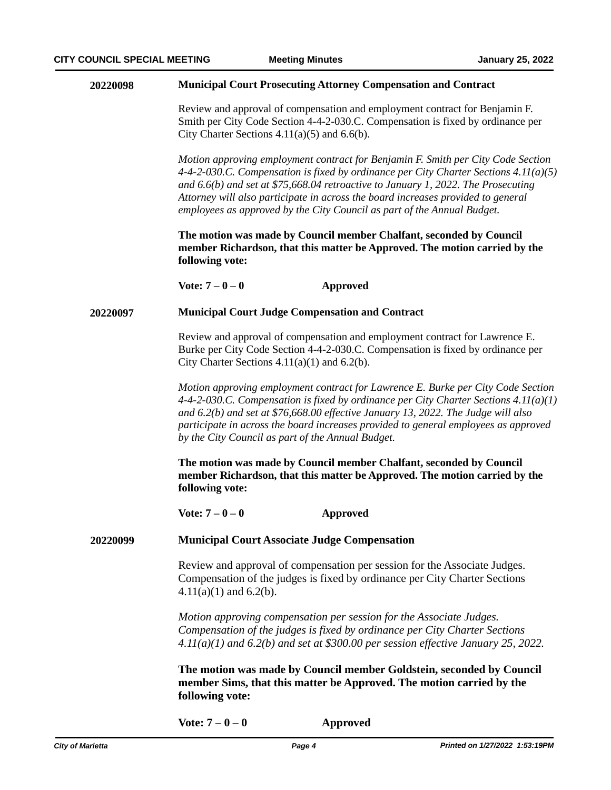| 20220098 | <b>Municipal Court Prosecuting Attorney Compensation and Contract</b> |
|----------|-----------------------------------------------------------------------|
|----------|-----------------------------------------------------------------------|

Review and approval of compensation and employment contract for Benjamin F. Smith per City Code Section 4-4-2-030.C. Compensation is fixed by ordinance per City Charter Sections  $4.11(a)(5)$  and  $6.6(b)$ .

*Motion approving employment contract for Benjamin F. Smith per City Code Section 4-4-2-030.C. Compensation is fixed by ordinance per City Charter Sections 4.11(a)(5) and 6.6(b) and set at \$75,668.04 retroactive to January 1, 2022. The Prosecuting Attorney will also participate in across the board increases provided to general employees as approved by the City Council as part of the Annual Budget.*

**The motion was made by Council member Chalfant, seconded by Council member Richardson, that this matter be Approved. The motion carried by the following vote:**

**Vote: 7 – 0 – 0 Approved**

#### **Municipal Court Judge Compensation and Contract 20220097**

Review and approval of compensation and employment contract for Lawrence E. Burke per City Code Section 4-4-2-030.C. Compensation is fixed by ordinance per City Charter Sections  $4.11(a)(1)$  and  $6.2(b)$ .

*Motion approving employment contract for Lawrence E. Burke per City Code Section 4-4-2-030.C. Compensation is fixed by ordinance per City Charter Sections 4.11(a)(1) and 6.2(b) and set at \$76,668.00 effective January 13, 2022. The Judge will also participate in across the board increases provided to general employees as approved by the City Council as part of the Annual Budget.*

**The motion was made by Council member Chalfant, seconded by Council member Richardson, that this matter be Approved. The motion carried by the following vote:**

**Vote: 7 – 0 – 0 Approved**

#### **Municipal Court Associate Judge Compensation 20220099**

Review and approval of compensation per session for the Associate Judges. Compensation of the judges is fixed by ordinance per City Charter Sections  $4.11(a)(1)$  and  $6.2(b)$ .

*Motion approving compensation per session for the Associate Judges. Compensation of the judges is fixed by ordinance per City Charter Sections 4.11(a)(1) and 6.2(b) and set at \$300.00 per session effective January 25, 2022.*

**The motion was made by Council member Goldstein, seconded by Council member Sims, that this matter be Approved. The motion carried by the following vote:**

**Vote: 7 – 0 – 0 Approved**